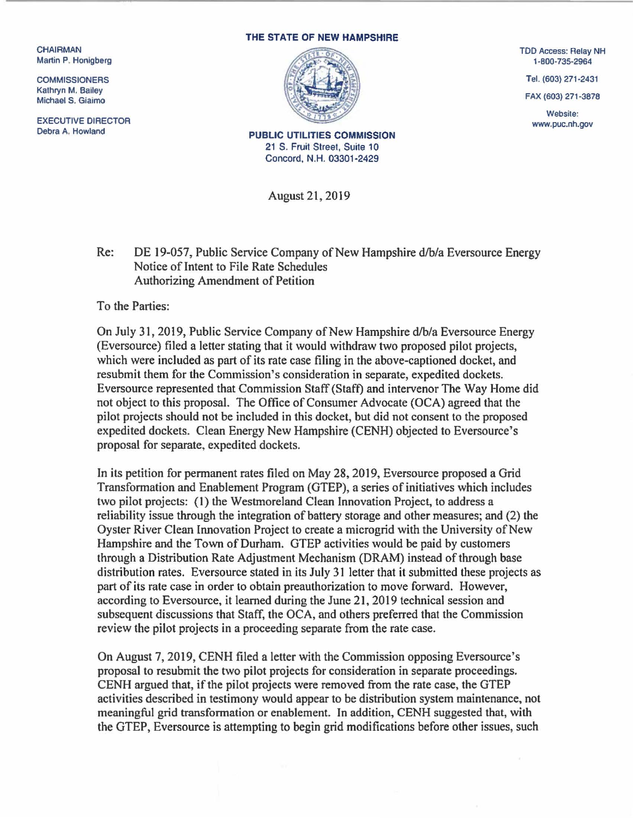CHAIRMAN Martin P. Honigberg

**COMMISSIONERS** Kathryn M. Bailey Michael S. Giaimo

EXECUTIVE DIRECTOR<br>Debra A. Howland

## THE STATE OF NEW HAMPSHIRE



TDD Access: Relay NH 1·800·735-2964

Tel. (603) 271-2431

FAX (603) 271 -3878

Website: www.puc.nh.gov

PUBLIC UTILITIES COMMISSION 21 S. Fruit Street, Suite 10 Concord, N.H. 03301-2429

August 21, 2019

Re: DE 19-057, Public Service Company of New Hampshire d/b/a Eversource Energy Notice of Intent to File Rate Schedules Authorizing Amendment of Petition

To the Parties:

On July 31, 2019, Public Service Company of New Hampshire d/b/a Eversource Energy (Eversource) filed a letter stating that it would withdraw two proposed pilot projects, which were included as part of its rate case filing in the above-captioned docket, and resubmit them for the Commission's consideration in separate, expedited dockets. Eversource represented that Commission Staff (Staff) and intervenor The Way Home did not object to this proposal. The Office of Consumer Advocate (OCA) agreed that the pilot projects should not be included in this docket, but did not consent to the proposed expedited dockets. Clean Energy New Hampshire (CENH) objected to Eversource's proposal for separate, expedited dockets.

In its petition for permanent rates filed on May 28, 2019, Eversource proposed a Grid Transformation and Enablement Program (GTEP), a series of initiatives which includes two pilot projects: (I) the Westmoreland Clean Innovation Project, to address a reliability issue through the integration of battery storage and other measures; and (2) the Oyster River Clean Innovation Project to create a microgrid with the University of New Hampshire and the Town of Durham. GTEP activities would be paid by customers through a Distribution Rate Adjustment Mechanism (DRAM) instead of through base distribution rates. Eversource stated in its July 31 letter that it submitted these projects as part of its rate case in order to obtain preauthorization to move forward. However, according to Eversource, it learned during the June 21, 2019 technical session and subsequent discussions that Staff, the OCA, and others preferred that the Commission review the pilot projects in a proceeding separate from the rate case.

On August 7, 2019, CENH filed a letter with the Commission opposing Eversource' s proposal to resubmit the two pilot projects for consideration in separate proceedings. CENH argued that, if the pilot projects were removed from the rate case, the GTEP activities described in testimony would appear to be distribution system maintenance, not meaningful grid transformation or enablement. In addition, CENH suggested that, with the GTEP, Eversource is attempting to begin grid modifications before other issues, such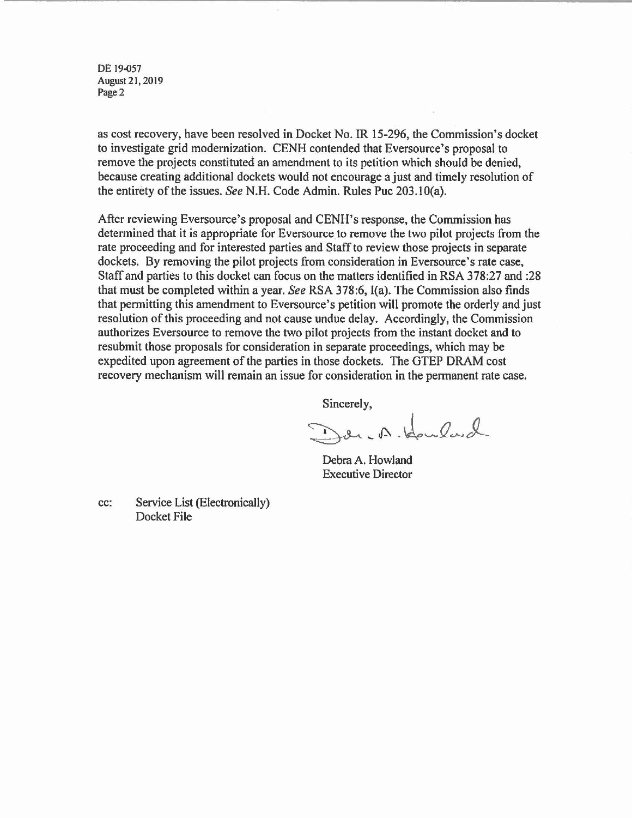DE 19-057 August 21, 2019 Page 2

as cost recovery. have been resolved in Docket No. IR 15-296, the Commission's docket to investigate grid modernization. CENH contended that Eversource's proposal to remove the projects constituted an amendment to its petition which should be denied. because creating additional dockets would not encourage a just and timely resolution of the entirety of the issues. *See* N.H. Code Admin. Rules Puc 203. IO(a).

After reviewing Eversource's proposal and CENH's response, the Commission has determined that it is appropriate for Eversource to remove the two pilot projects from the rate proceeding and for interested parties and Staff to review those projects in separate dockets. By removing the pilot projects from consideration in Eversource's rate case, Staff and parties to this docket can focus on the matters identified in RSA 378:27 and :28 that must be completed within a year. *See* RSA 378:6. I(a). The Commission also finds that permitting this amendment to Eversource's petition will promote the orderly and just resolution of this proceeding and not cause undue delay. Accordingly, the Commission authorizes Eversource to remove the two pilot projects from the instant docket and to resubmit those proposals for consideration in separate proceedings. which may be expedited upon agreement of the parties in those dockets. The GTEP DRAM cost recovery mechanism will remain an issue for consideration in the permanent rate case.

Sincerely.

Derc A. Housland

Debra A. Howland Executive Director

cc: Service List (Electronically) Docket File